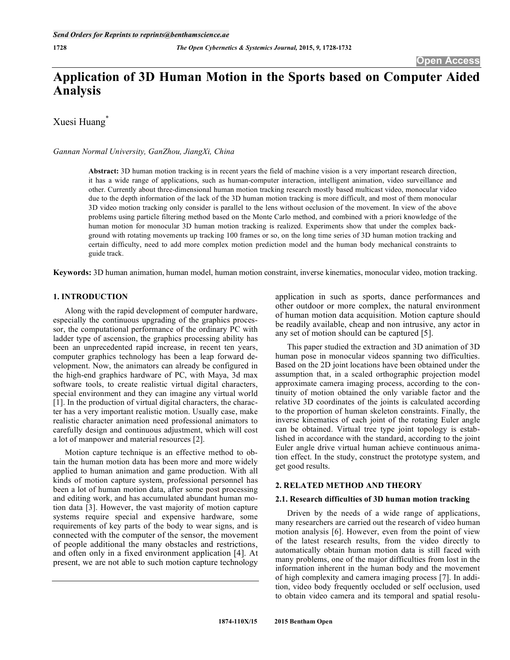# **Application of 3D Human Motion in the Sports based on Computer Aided Analysis**

Xuesi Huang<sup>\*</sup>

# *Gannan Normal University, GanZhou, JiangXi, China*

**Abstract:** 3D human motion tracking is in recent years the field of machine vision is a very important research direction, it has a wide range of applications, such as human-computer interaction, intelligent animation, video surveillance and other. Currently about three-dimensional human motion tracking research mostly based multicast video, monocular video due to the depth information of the lack of the 3D human motion tracking is more difficult, and most of them monocular 3D video motion tracking only consider is parallel to the lens without occlusion of the movement. In view of the above problems using particle filtering method based on the Monte Carlo method, and combined with a priori knowledge of the human motion for monocular 3D human motion tracking is realized. Experiments show that under the complex background with rotating movements up tracking 100 frames or so, on the long time series of 3D human motion tracking and certain difficulty, need to add more complex motion prediction model and the human body mechanical constraints to guide track.

**Keywords:** 3D human animation, human model, human motion constraint, inverse kinematics, monocular video, motion tracking.

# **1. INTRODUCTION**

Along with the rapid development of computer hardware, especially the continuous upgrading of the graphics processor, the computational performance of the ordinary PC with ladder type of ascension, the graphics processing ability has been an unprecedented rapid increase, in recent ten years, computer graphics technology has been a leap forward development. Now, the animators can already be configured in the high-end graphics hardware of PC, with Maya, 3d max software tools, to create realistic virtual digital characters, special environment and they can imagine any virtual world [1]. In the production of virtual digital characters, the character has a very important realistic motion. Usually case, make realistic character animation need professional animators to carefully design and continuous adjustment, which will cost a lot of manpower and material resources [2].

Motion capture technique is an effective method to obtain the human motion data has been more and more widely applied to human animation and game production. With all kinds of motion capture system, professional personnel has been a lot of human motion data, after some post processing and editing work, and has accumulated abundant human motion data [3]. However, the vast majority of motion capture systems require special and expensive hardware, some requirements of key parts of the body to wear signs, and is connected with the computer of the sensor, the movement of people additional the many obstacles and restrictions, and often only in a fixed environment application [4]. At present, we are not able to such motion capture technology

application in such as sports, dance performances and other outdoor or more complex, the natural environment of human motion data acquisition. Motion capture should be readily available, cheap and non intrusive, any actor in any set of motion should can be captured [5].

This paper studied the extraction and 3D animation of 3D human pose in monocular videos spanning two difficulties. Based on the 2D joint locations have been obtained under the assumption that, in a scaled orthographic projection model approximate camera imaging process, according to the continuity of motion obtained the only variable factor and the relative 3D coordinates of the joints is calculated according to the proportion of human skeleton constraints. Finally, the inverse kinematics of each joint of the rotating Euler angle can be obtained. Virtual tree type joint topology is established in accordance with the standard, according to the joint Euler angle drive virtual human achieve continuous animation effect. In the study, construct the prototype system, and get good results.

# **2. RELATED METHOD AND THEORY**

## **2.1. Research difficulties of 3D human motion tracking**

Driven by the needs of a wide range of applications, many researchers are carried out the research of video human motion analysis [6]. However, even from the point of view of the latest research results, from the video directly to automatically obtain human motion data is still faced with many problems, one of the major difficulties from lost in the information inherent in the human body and the movement of high complexity and camera imaging process [7]. In addition, video body frequently occluded or self occlusion, used to obtain video camera and its temporal and spatial resolu-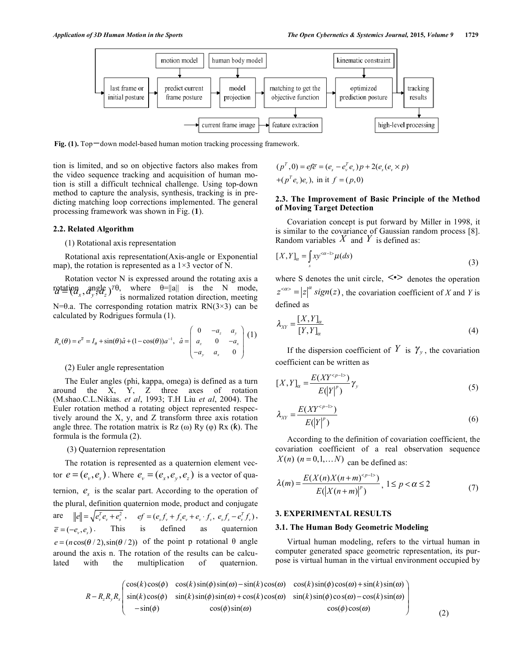

**Fig. (1).** Top-down model-based human motion tracking processing framework.

tion is limited, and so on objective factors also makes from the video sequence tracking and acquisition of human motion is still a difficult technical challenge. Using top-down method to capture the analysis, synthesis, tracking is in predicting matching loop corrections implemented. The general processing framework was shown in Fig. (**1**).

# **2.2. Related Algorithm**

## (1) Rotational axis representation

Rotational axis representation(Axis-angle or Exponential map), the rotation is represented as a  $1\times 3$  vector of N.

Rotation vector N is expressed around the rotating axis a  $\eta = \frac{d\alpha}{dt} \left( \frac{\partial u}{\partial x}, \frac{\partial u}{\partial y}, \frac{\partial u}{\partial z} \right) = \frac{d\alpha}{dt} \quad \text{where} \quad \theta = ||a|| \quad \text{is} \quad \text{the} \quad N \quad \text{mode},$ N= $\theta$ .a. The corresponding rotation matrix RN(3×3) can be calculated by Rodrigues formula (1).

$$
R_a(\theta) = e^{\bar{a}} = I_\theta + \sin(\theta)\hat{a} + (1 - \cos(\theta))a^{-1}, \quad \hat{a} = \begin{pmatrix} 0 & -a_z & a_y \\ a_z & 0 & -a_x \\ -a_y & a_x & 0 \end{pmatrix} (1)
$$

# (2) Euler angle representation

The Euler angles (phi, kappa, omega) is defined as a turn around the X, Y, Z three axes of rotation (M.shao.C.L.Nikias. *et al*, 1993; T.H Liu *et al*, 2004). The Euler rotation method a rotating object represented respectively around the X, y, and Z transform three axis rotation angle three. The rotation matrix is  $Rz(\omega) Ry(\varphi) Rx(\kappa)$ . The formula is the formula (2).

#### (3) Quaternion representation

The rotation is represented as a quaternion element vector  $e = (e_v, e_s)$ . Where  $e_v = (e_x, e_v, e_z)$  is a vector of quaternion,  $e_s$  is the scalar part. According to the operation of the plural, definition quaternion mode, product and conjugate are  $||e|| = \sqrt{e_v^T e_v + e_s^2}$ ,  $ef = (e_s f_v + f_s e_v + e_v \cdot f_v, e_s f_s - e_v^T f_v)$ ,  $\overline{e} = (-e_{\alpha}, e_{\beta})$ . This is defined as quaternion  $e = (n \cos(\theta / 2), \sin(\theta / 2))$  of the point p rotational  $\theta$  angle around the axis n. The rotation of the results can be calculated with the multiplication of quaternion.

$$
(pT, 0) = e f \overline{e} = (es - evT ev) p + 2(es (ev \times p)+(pT ev)ev), in it f = (p, 0)
$$

# **2.3. The Improvement of Basic Principle of the Method of Moving Target Detection**

Covariation concept is put forward by Miller in 1998, it is similar to the covariance of Gaussian random process [8]. Random variables  $X$  and  $Y$  is defined as:

$$
[X,Y]_{\alpha} = \int_{s} xy^{<\alpha-1>} \mu(ds)
$$
 (3)

where S denotes the unit circle,  $\leq$  denotes the operation  $z^{<\alpha>} = |z|^\alpha$  sign(z), the covariation coefficient of *X* and *Y* is defined as

$$
\lambda_{XY} = \frac{[X, Y]_{\alpha}}{[Y, Y]_{\alpha}}
$$
\n(4)

If the dispersion coefficient of  $Y$  is  $\gamma_{\nu}$ , the covariation coefficient can be written as

$$
[X,Y]_{\alpha} = \frac{E(XY^{}}{E(|Y|^p)}\gamma_{\gamma}
$$
\n
$$
(5)
$$

$$
\lambda_{XY} = \frac{E(XY^{}}{E(|Y|^p)}
$$
\n<sup>(6)</sup>

According to the definition of covariation coefficient, the covariation coefficient of a real observation sequence  $X(n)$  ( $n = 0,1,...N$ ) can be defined as:

$$
\lambda(m) = \frac{E(X(n)X(n+m)^{p-1}}{E(|X(n+m)|^p)}, 1 \le p < \alpha \le 2
$$
 (7)

# **3. EXPERIMENTAL RESULTS**

#### **3.1. The Human Body Geometric Modeling**

Virtual human modeling, refers to the virtual human in computer generated space geometric representation, its purpose is virtual human in the virtual environment occupied by

$$
R - R_z R_y R_x \begin{pmatrix} \cos(k)\cos(\phi) & \cos(k)\sin(\phi)\sin(\omega) - \sin(k)\cos(\omega) & \cos(k)\sin(\phi)\cos(\omega) + \sin(k)\sin(\omega) \\ \sin(k)\cos(\phi) & \sin(k)\sin(\phi)\sin(\omega) + \cos(k)\cos(\omega) & \sin(k)\sin(\phi)\cos(\omega) - \cos(k)\sin(\omega) \\ -\sin(\phi) & \cos(\phi)\sin(\omega) & \cos(\phi)\cos(\omega) \end{pmatrix}
$$
(2)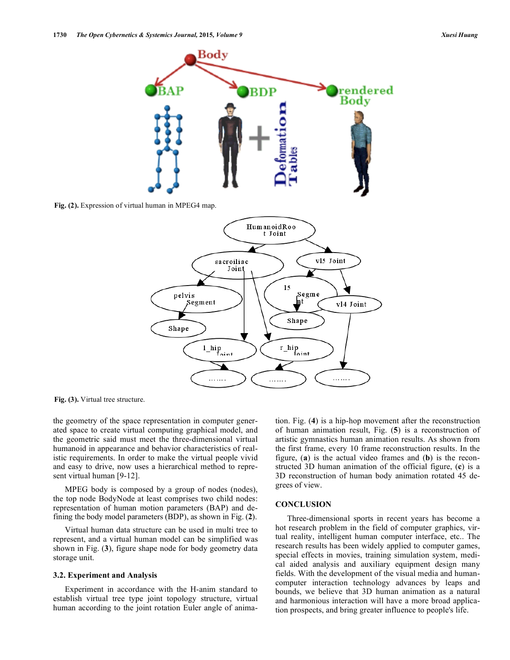

**Fig. (2).** Expression of virtual human in MPEG4 map.



**Fig. (3).** Virtual tree structure.

the geometry of the space representation in computer generated space to create virtual computing graphical model, and the geometric said must meet the three-dimensional virtual humanoid in appearance and behavior characteristics of realistic requirements. In order to make the virtual people vivid and easy to drive, now uses a hierarchical method to represent virtual human [9-12].

MPEG body is composed by a group of nodes (nodes), the top node BodyNode at least comprises two child nodes: representation of human motion parameters (BAP) and defining the body model parameters (BDP), as shown in Fig. (**2**).

Virtual human data structure can be used in multi tree to represent, and a virtual human model can be simplified was shown in Fig. (**3**), figure shape node for body geometry data storage unit.

#### **3.2. Experiment and Analysis**

Experiment in accordance with the H-anim standard to establish virtual tree type joint topology structure, virtual human according to the joint rotation Euler angle of animation. Fig. (**4**) is a hip-hop movement after the reconstruction of human animation result, Fig. (**5**) is a reconstruction of artistic gymnastics human animation results. As shown from the first frame, every 10 frame reconstruction results. In the figure, (**a**) is the actual video frames and (**b**) is the reconstructed 3D human animation of the official figure, (**c**) is a 3D reconstruction of human body animation rotated 45 degrees of view.

# **CONCLUSION**

Three-dimensional sports in recent years has become a hot research problem in the field of computer graphics, virtual reality, intelligent human computer interface, etc.. The research results has been widely applied to computer games, special effects in movies, training simulation system, medical aided analysis and auxiliary equipment design many fields. With the development of the visual media and humancomputer interaction technology advances by leaps and bounds, we believe that 3D human animation as a natural and harmonious interaction will have a more broad application prospects, and bring greater influence to people's life.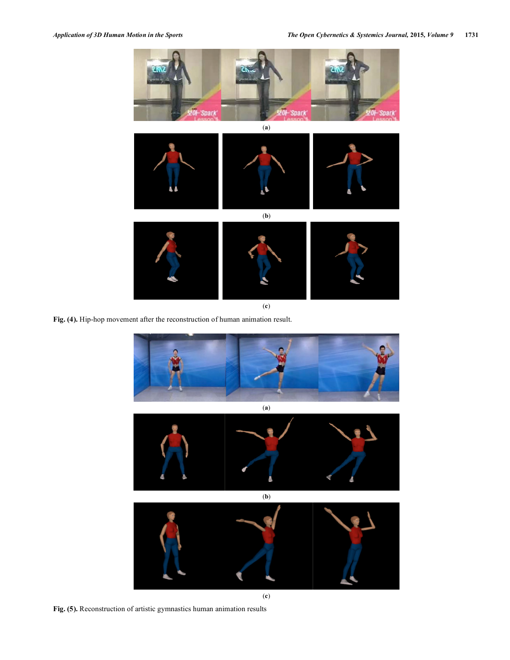

**Fig. (4).** Hip-hop movement after the reconstruction of human animation result.



(**c**)

**Fig. (5).** Reconstruction of artistic gymnastics human animation results